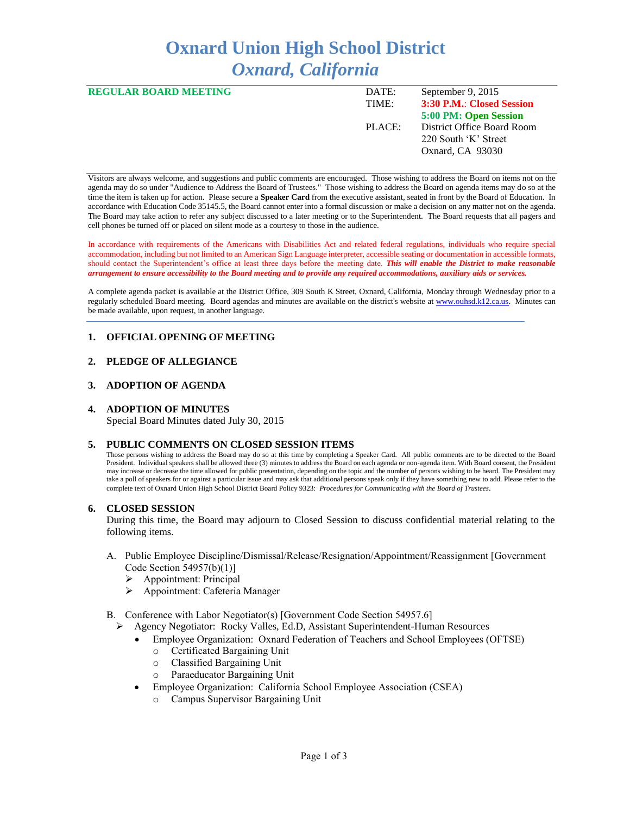# **Oxnard Union High School District** *Oxnard, California*

| <b>REGULAR BOARD MEETING</b> | DATE:  | September 9, 2015          |
|------------------------------|--------|----------------------------|
|                              | TIME:  | 3:30 P.M.: Closed Session  |
|                              |        | 5:00 PM: Open Session      |
|                              | PLACE: | District Office Board Room |
|                              |        | 220 South 'K' Street       |
|                              |        | Oxnard, CA 93030           |
|                              |        |                            |

Visitors are always welcome, and suggestions and public comments are encouraged. Those wishing to address the Board on items not on the agenda may do so under "Audience to Address the Board of Trustees." Those wishing to address the Board on agenda items may do so at the time the item is taken up for action. Please secure a **Speaker Card** from the executive assistant, seated in front by the Board of Education. In accordance with Education Code 35145.5, the Board cannot enter into a formal discussion or make a decision on any matter not on the agenda. The Board may take action to refer any subject discussed to a later meeting or to the Superintendent. The Board requests that all pagers and cell phones be turned off or placed on silent mode as a courtesy to those in the audience.

In accordance with requirements of the Americans with Disabilities Act and related federal regulations, individuals who require special accommodation, including but not limited to an American Sign Language interpreter, accessible seating or documentation in accessible formats, should contact the Superintendent's office at least three days before the meeting date. *This will enable the District to make reasonable arrangement to ensure accessibility to the Board meeting and to provide any required accommodations, auxiliary aids or services.* 

A complete agenda packet is available at the District Office, 309 South K Street, Oxnard, California, Monday through Wednesday prior to a regularly scheduled Board meeting. Board agendas and minutes are available on the district's website a[t www.ouhsd.k12.ca.us.](http://www.ouhsd.k12.ca.us/)Minutes can be made available, upon request, in another language.

# **1. OFFICIAL OPENING OF MEETING**

## **2. PLEDGE OF ALLEGIANCE**

## **3. ADOPTION OF AGENDA**

## **4. ADOPTION OF MINUTES**

Special Board Minutes dated July 30, 2015

## **5. PUBLIC COMMENTS ON CLOSED SESSION ITEMS**

Those persons wishing to address the Board may do so at this time by completing a Speaker Card. All public comments are to be directed to the Board President. Individual speakers shall be allowed three (3) minutes to address the Board on each agenda or non-agenda item. With Board consent, the President may increase or decrease the time allowed for public presentation, depending on the topic and the number of persons wishing to be heard. The President may take a poll of speakers for or against a particular issue and may ask that additional persons speak only if they have something new to add. Please refer to the complete text of Oxnard Union High School District Board Policy 9323: *Procedures for Communicating with the Board of Trustees*.

## **6. CLOSED SESSION**

During this time, the Board may adjourn to Closed Session to discuss confidential material relating to the following items.

- A. Public Employee Discipline/Dismissal/Release/Resignation/Appointment/Reassignment [Government Code Section 54957(b)(1)]
	- Appointment: Principal
	- Appointment: Cafeteria Manager
- B. Conference with Labor Negotiator(s) [Government Code Section 54957.6]
	- Agency Negotiator: Rocky Valles, Ed.D, Assistant Superintendent-Human Resources
		- Employee Organization: Oxnard Federation of Teachers and School Employees (OFTSE)
			- o Certificated Bargaining Unit
			- o Classified Bargaining Unit
			- o Paraeducator Bargaining Unit
		- Employee Organization: California School Employee Association (CSEA)
			- Campus Supervisor Bargaining Unit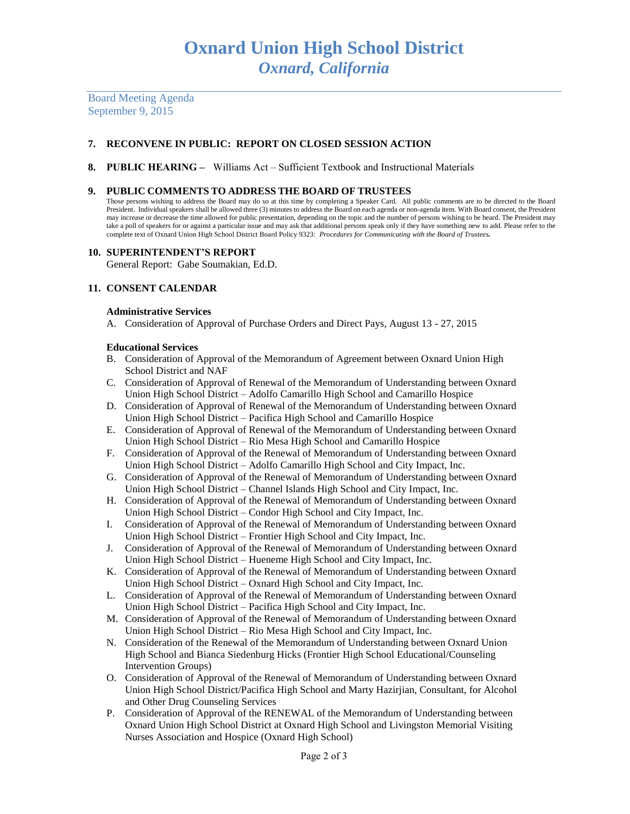Board Meeting Agenda September 9, 2015

# **7. RECONVENE IN PUBLIC: REPORT ON CLOSED SESSION ACTION**

**8. PUBLIC HEARING –** Williams Act – Sufficient Textbook and Instructional Materials

## **9. PUBLIC COMMENTS TO ADDRESS THE BOARD OF TRUSTEES**

Those persons wishing to address the Board may do so at this time by completing a Speaker Card. All public comments are to be directed to the Board President. Individual speakers shall be allowed three (3) minutes to address the Board on each agenda or non-agenda item. With Board consent, the President may increase or decrease the time allowed for public presentation, depending on the topic and the number of persons wishing to be heard. The President may take a poll of speakers for or against a particular issue and may ask that additional persons speak only if they have something new to add. Please refer to the complete text of Oxnard Union High School District Board Policy 9323: *Procedures for Communicating with the Board of Trustees.*

## **10. SUPERINTENDENT'S REPORT**

General Report: Gabe Soumakian, Ed.D.

# **11. CONSENT CALENDAR**

## **Administrative Services**

A. Consideration of Approval of Purchase Orders and Direct Pays, August 13 - 27, 2015

## **Educational Services**

- B. Consideration of Approval of the Memorandum of Agreement between Oxnard Union High School District and NAF
- C. Consideration of Approval of Renewal of the Memorandum of Understanding between Oxnard Union High School District – Adolfo Camarillo High School and Camarillo Hospice
- D. Consideration of Approval of Renewal of the Memorandum of Understanding between Oxnard Union High School District – Pacifica High School and Camarillo Hospice
- E. Consideration of Approval of Renewal of the Memorandum of Understanding between Oxnard Union High School District – Rio Mesa High School and Camarillo Hospice
- F. Consideration of Approval of the Renewal of Memorandum of Understanding between Oxnard Union High School District – Adolfo Camarillo High School and City Impact, Inc.
- G. Consideration of Approval of the Renewal of Memorandum of Understanding between Oxnard Union High School District – Channel Islands High School and City Impact, Inc.
- H. Consideration of Approval of the Renewal of Memorandum of Understanding between Oxnard Union High School District – Condor High School and City Impact, Inc.
- I. Consideration of Approval of the Renewal of Memorandum of Understanding between Oxnard Union High School District – Frontier High School and City Impact, Inc.
- J. Consideration of Approval of the Renewal of Memorandum of Understanding between Oxnard Union High School District – Hueneme High School and City Impact, Inc.
- K. Consideration of Approval of the Renewal of Memorandum of Understanding between Oxnard Union High School District – Oxnard High School and City Impact, Inc.
- L. Consideration of Approval of the Renewal of Memorandum of Understanding between Oxnard Union High School District – Pacifica High School and City Impact, Inc.
- M. Consideration of Approval of the Renewal of Memorandum of Understanding between Oxnard Union High School District – Rio Mesa High School and City Impact, Inc.
- N. Consideration of the Renewal of the Memorandum of Understanding between Oxnard Union High School and Bianca Siedenburg Hicks (Frontier High School Educational/Counseling Intervention Groups)
- O. Consideration of Approval of the Renewal of Memorandum of Understanding between Oxnard Union High School District/Pacifica High School and Marty Hazirjian, Consultant, for Alcohol and Other Drug Counseling Services
- P. Consideration of Approval of the RENEWAL of the Memorandum of Understanding between Oxnard Union High School District at Oxnard High School and Livingston Memorial Visiting Nurses Association and Hospice (Oxnard High School)